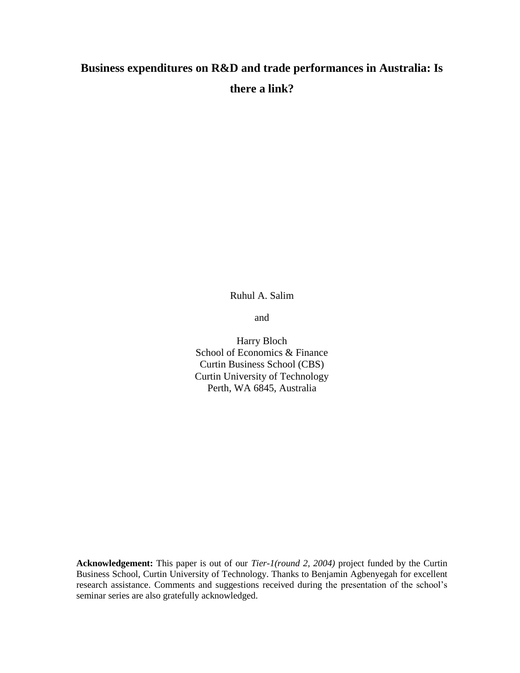# **Business expenditures on R&D and trade performances in Australia: Is there a link?**

Ruhul A. Salim

and

Harry Bloch School of Economics & Finance Curtin Business School (CBS) Curtin University of Technology Perth, WA 6845, Australia

**Acknowledgement:** This paper is out of our *Tier-1(round 2, 2004)* project funded by the Curtin Business School, Curtin University of Technology. Thanks to Benjamin Agbenyegah for excellent research assistance. Comments and suggestions received during the presentation of the school's seminar series are also gratefully acknowledged.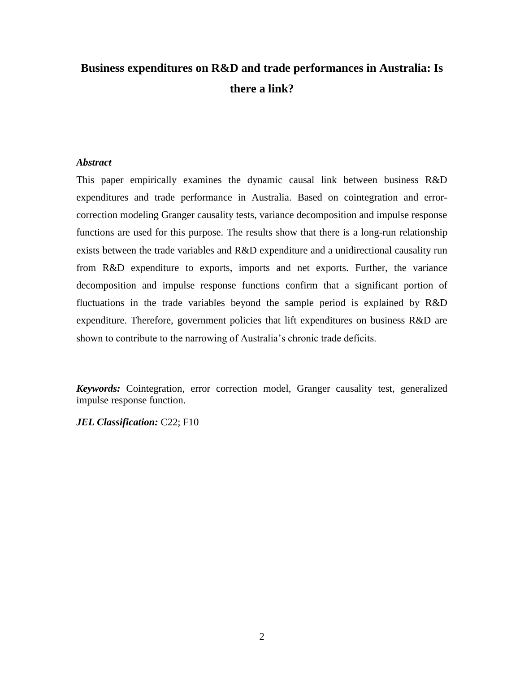# **Business expenditures on R&D and trade performances in Australia: Is there a link?**

### *Abstract*

This paper empirically examines the dynamic causal link between business R&D expenditures and trade performance in Australia. Based on cointegration and errorcorrection modeling Granger causality tests, variance decomposition and impulse response functions are used for this purpose. The results show that there is a long-run relationship exists between the trade variables and R&D expenditure and a unidirectional causality run from R&D expenditure to exports, imports and net exports. Further, the variance decomposition and impulse response functions confirm that a significant portion of fluctuations in the trade variables beyond the sample period is explained by R&D expenditure. Therefore, government policies that lift expenditures on business R&D are shown to contribute to the narrowing of Australia's chronic trade deficits.

*Keywords:* Cointegration, error correction model, Granger causality test, generalized impulse response function.

*JEL Classification:* C22; F10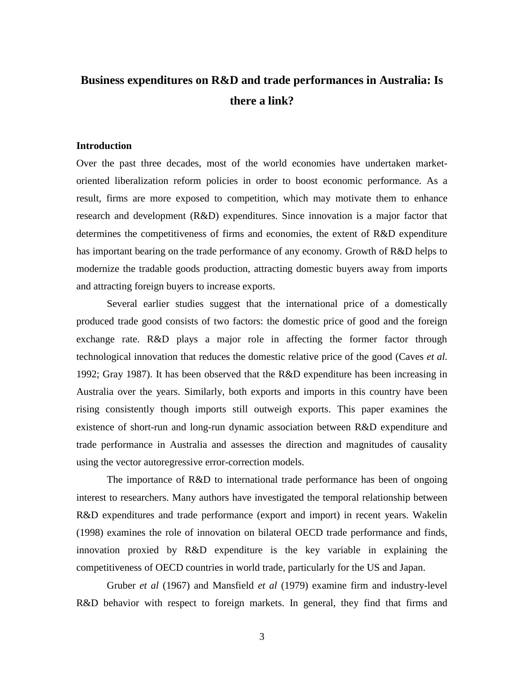## **Business expenditures on R&D and trade performances in Australia: Is there a link?**

#### **Introduction**

Over the past three decades, most of the world economies have undertaken marketoriented liberalization reform policies in order to boost economic performance. As a result, firms are more exposed to competition, which may motivate them to enhance research and development (R&D) expenditures. Since innovation is a major factor that determines the competitiveness of firms and economies, the extent of R&D expenditure has important bearing on the trade performance of any economy. Growth of R&D helps to modernize the tradable goods production, attracting domestic buyers away from imports and attracting foreign buyers to increase exports.

Several earlier studies suggest that the international price of a domestically produced trade good consists of two factors: the domestic price of good and the foreign exchange rate. R&D plays a major role in affecting the former factor through technological innovation that reduces the domestic relative price of the good (Caves *et al.* 1992; Gray 1987). It has been observed that the R&D expenditure has been increasing in Australia over the years. Similarly, both exports and imports in this country have been rising consistently though imports still outweigh exports. This paper examines the existence of short-run and long-run dynamic association between R&D expenditure and trade performance in Australia and assesses the direction and magnitudes of causality using the vector autoregressive error-correction models.

The importance of R&D to international trade performance has been of ongoing interest to researchers. Many authors have investigated the temporal relationship between R&D expenditures and trade performance (export and import) in recent years. Wakelin (1998) examines the role of innovation on bilateral OECD trade performance and finds, innovation proxied by R&D expenditure is the key variable in explaining the competitiveness of OECD countries in world trade, particularly for the US and Japan.

Gruber *et al* (1967) and Mansfield *et al* (1979) examine firm and industry-level R&D behavior with respect to foreign markets. In general, they find that firms and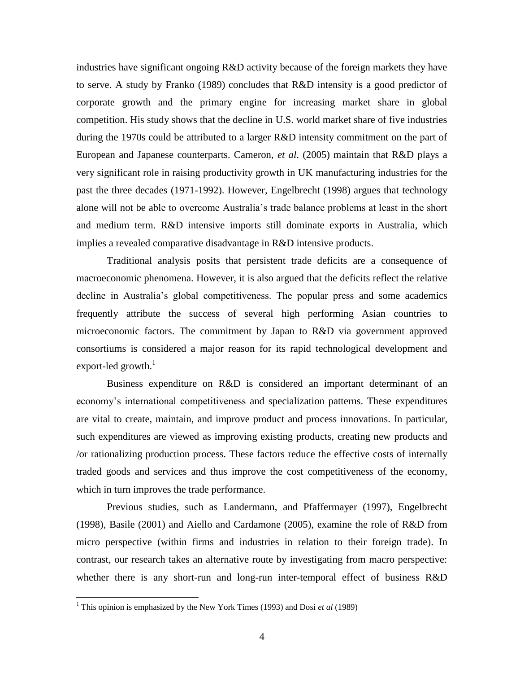industries have significant ongoing R&D activity because of the foreign markets they have to serve. A study by Franko (1989) concludes that R&D intensity is a good predictor of corporate growth and the primary engine for increasing market share in global competition. His study shows that the decline in U.S. world market share of five industries during the 1970s could be attributed to a larger R&D intensity commitment on the part of European and Japanese counterparts. Cameron, *et al*. (2005) maintain that R&D plays a very significant role in raising productivity growth in UK manufacturing industries for the past the three decades (1971-1992). However, Engelbrecht (1998) argues that technology alone will not be able to overcome Australia's trade balance problems at least in the short and medium term. R&D intensive imports still dominate exports in Australia, which implies a revealed comparative disadvantage in R&D intensive products.

Traditional analysis posits that persistent trade deficits are a consequence of macroeconomic phenomena. However, it is also argued that the deficits reflect the relative decline in Australia's global competitiveness. The popular press and some academics frequently attribute the success of several high performing Asian countries to microeconomic factors. The commitment by Japan to R&D via government approved consortiums is considered a major reason for its rapid technological development and export-led growth. $1$ 

Business expenditure on R&D is considered an important determinant of an economy's international competitiveness and specialization patterns. These expenditures are vital to create, maintain, and improve product and process innovations. In particular, such expenditures are viewed as improving existing products, creating new products and /or rationalizing production process. These factors reduce the effective costs of internally traded goods and services and thus improve the cost competitiveness of the economy, which in turn improves the trade performance.

Previous studies, such as Landermann, and Pfaffermayer (1997), Engelbrecht (1998), Basile (2001) and Aiello and Cardamone (2005), examine the role of R&D from micro perspective (within firms and industries in relation to their foreign trade). In contrast, our research takes an alternative route by investigating from macro perspective: whether there is any short-run and long-run inter-temporal effect of business R&D

 $\overline{a}$ 

<sup>1</sup> This opinion is emphasized by the New York Times (1993) and Dosi *et al* (1989)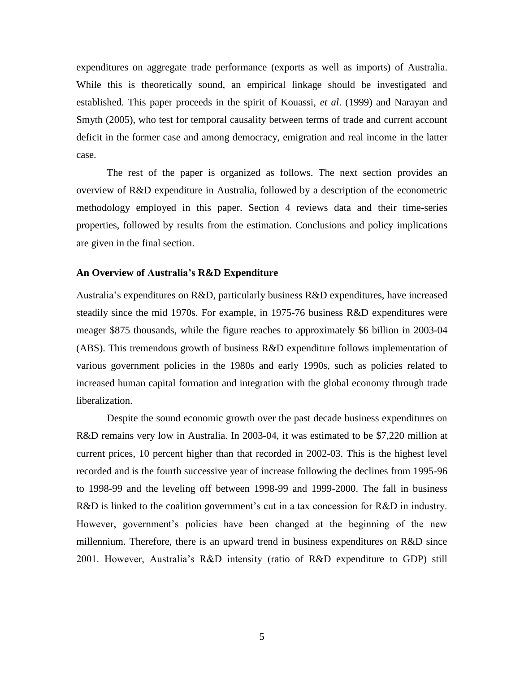expenditures on aggregate trade performance (exports as well as imports) of Australia. While this is theoretically sound, an empirical linkage should be investigated and established. This paper proceeds in the spirit of Kouassi, *et al*. (1999) and Narayan and Smyth (2005), who test for temporal causality between terms of trade and current account deficit in the former case and among democracy, emigration and real income in the latter case.

The rest of the paper is organized as follows. The next section provides an overview of R&D expenditure in Australia, followed by a description of the econometric methodology employed in this paper. Section 4 reviews data and their time-series properties, followed by results from the estimation. Conclusions and policy implications are given in the final section.

#### **An Overview of Australia's R&D Expenditure**

Australia's expenditures on R&D, particularly business R&D expenditures, have increased steadily since the mid 1970s. For example, in 1975-76 business R&D expenditures were meager \$875 thousands, while the figure reaches to approximately \$6 billion in 2003-04 (ABS). This tremendous growth of business R&D expenditure follows implementation of various government policies in the 1980s and early 1990s, such as policies related to increased human capital formation and integration with the global economy through trade liberalization.

Despite the sound economic growth over the past decade business expenditures on R&D remains very low in Australia. In 2003-04, it was estimated to be \$7,220 million at current prices, 10 percent higher than that recorded in 2002-03. This is the highest level recorded and is the fourth successive year of increase following the declines from 1995-96 to 1998-99 and the leveling off between 1998-99 and 1999-2000. The fall in business R&D is linked to the coalition government's cut in a tax concession for R&D in industry. However, government's policies have been changed at the beginning of the new millennium. Therefore, there is an upward trend in business expenditures on R&D since 2001. However, Australia's R&D intensity (ratio of R&D expenditure to GDP) still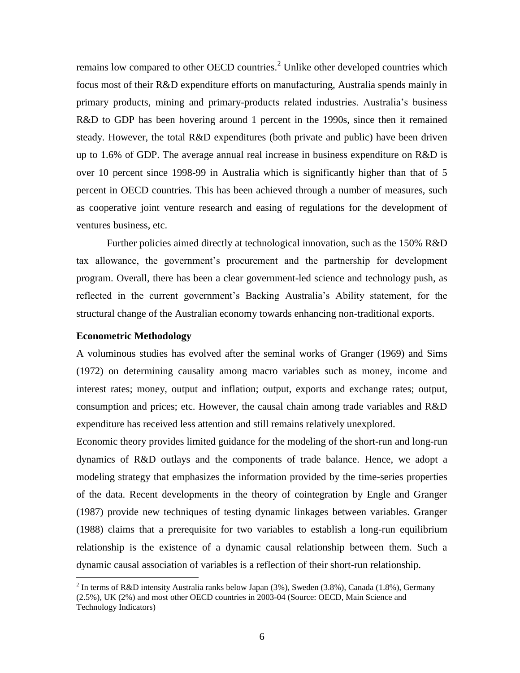remains low compared to other OECD countries.<sup>2</sup> Unlike other developed countries which focus most of their R&D expenditure efforts on manufacturing, Australia spends mainly in primary products, mining and primary-products related industries. Australia's business R&D to GDP has been hovering around 1 percent in the 1990s, since then it remained steady. However, the total R&D expenditures (both private and public) have been driven up to 1.6% of GDP. The average annual real increase in business expenditure on  $R&D$  is over 10 percent since 1998-99 in Australia which is significantly higher than that of 5 percent in OECD countries. This has been achieved through a number of measures, such as cooperative joint venture research and easing of regulations for the development of ventures business, etc.

Further policies aimed directly at technological innovation, such as the 150% R&D tax allowance, the government's procurement and the partnership for development program. Overall, there has been a clear government-led science and technology push, as reflected in the current government's Backing Australia's Ability statement, for the structural change of the Australian economy towards enhancing non-traditional exports.

#### **Econometric Methodology**

 $\overline{a}$ 

A voluminous studies has evolved after the seminal works of Granger (1969) and Sims (1972) on determining causality among macro variables such as money, income and interest rates; money, output and inflation; output, exports and exchange rates; output, consumption and prices; etc. However, the causal chain among trade variables and R&D expenditure has received less attention and still remains relatively unexplored.

Economic theory provides limited guidance for the modeling of the short-run and long-run dynamics of R&D outlays and the components of trade balance. Hence, we adopt a modeling strategy that emphasizes the information provided by the time-series properties of the data. Recent developments in the theory of cointegration by Engle and Granger (1987) provide new techniques of testing dynamic linkages between variables. Granger (1988) claims that a prerequisite for two variables to establish a long-run equilibrium relationship is the existence of a dynamic causal relationship between them. Such a dynamic causal association of variables is a reflection of their short-run relationship.

<sup>&</sup>lt;sup>2</sup> In terms of R&D intensity Australia ranks below Japan (3%), Sweden (3.8%), Canada (1.8%), Germany (2.5%), UK (2%) and most other OECD countries in 2003-04 (Source: OECD, Main Science and Technology Indicators)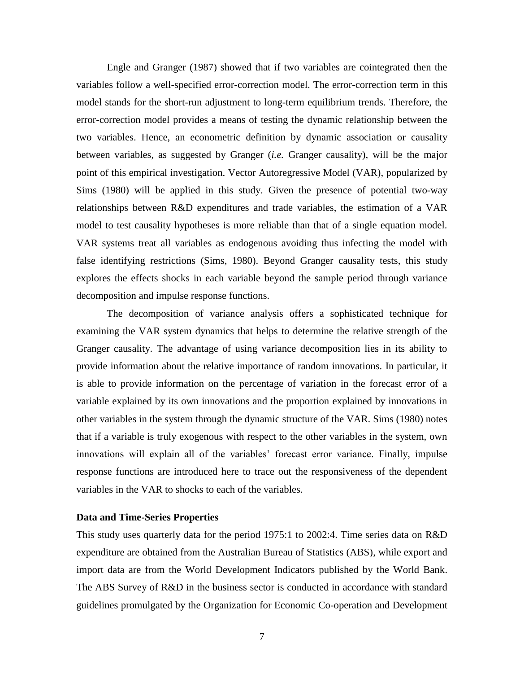Engle and Granger (1987) showed that if two variables are cointegrated then the variables follow a well-specified error-correction model. The error-correction term in this model stands for the short-run adjustment to long-term equilibrium trends. Therefore, the error-correction model provides a means of testing the dynamic relationship between the two variables. Hence, an econometric definition by dynamic association or causality between variables, as suggested by Granger (*i.e.* Granger causality), will be the major point of this empirical investigation. Vector Autoregressive Model (VAR), popularized by Sims (1980) will be applied in this study. Given the presence of potential two-way relationships between R&D expenditures and trade variables, the estimation of a VAR model to test causality hypotheses is more reliable than that of a single equation model. VAR systems treat all variables as endogenous avoiding thus infecting the model with false identifying restrictions (Sims, 1980). Beyond Granger causality tests, this study explores the effects shocks in each variable beyond the sample period through variance decomposition and impulse response functions.

The decomposition of variance analysis offers a sophisticated technique for examining the VAR system dynamics that helps to determine the relative strength of the Granger causality. The advantage of using variance decomposition lies in its ability to provide information about the relative importance of random innovations. In particular, it is able to provide information on the percentage of variation in the forecast error of a variable explained by its own innovations and the proportion explained by innovations in other variables in the system through the dynamic structure of the VAR. Sims (1980) notes that if a variable is truly exogenous with respect to the other variables in the system, own innovations will explain all of the variables' forecast error variance. Finally, impulse response functions are introduced here to trace out the responsiveness of the dependent variables in the VAR to shocks to each of the variables.

#### **Data and Time-Series Properties**

This study uses quarterly data for the period 1975:1 to 2002:4. Time series data on R&D expenditure are obtained from the Australian Bureau of Statistics (ABS), while export and import data are from the World Development Indicators published by the World Bank. The ABS Survey of R&D in the business sector is conducted in accordance with standard guidelines promulgated by the Organization for Economic Co-operation and Development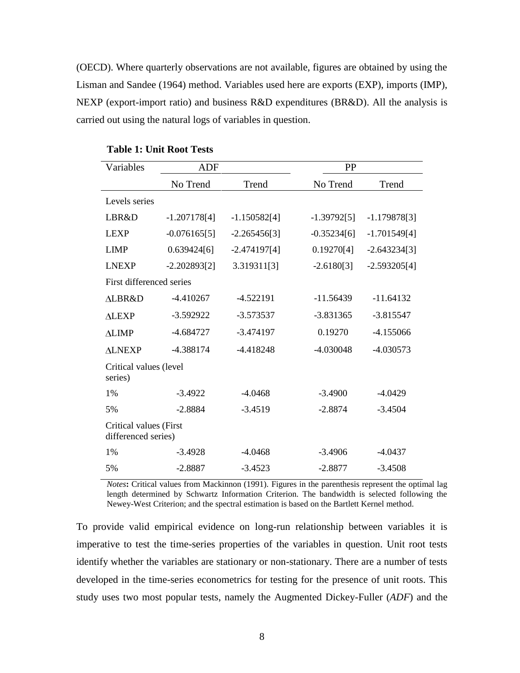(OECD). Where quarterly observations are not available, figures are obtained by using the Lisman and Sandee (1964) method. Variables used here are exports (EXP), imports (IMP), NEXP (export-import ratio) and business R&D expenditures (BR&D). All the analysis is carried out using the natural logs of variables in question.

| Variables                                     | <b>ADF</b>     |                | PP            |                |  |  |
|-----------------------------------------------|----------------|----------------|---------------|----------------|--|--|
|                                               | No Trend       | Trend          | No Trend      | Trend          |  |  |
| Levels series                                 |                |                |               |                |  |  |
| LBR&D                                         | $-1.207178[4]$ | $-1.150582[4]$ | $-1.39792[5]$ | $-1.179878[3]$ |  |  |
| <b>LEXP</b>                                   | $-0.076165[5]$ | $-2.265456[3]$ | $-0.35234[6]$ | $-1.701549[4]$ |  |  |
| <b>LIMP</b>                                   | 0.639424[6]    | $-2.474197[4]$ | 0.19270[4]    | $-2.643234[3]$ |  |  |
| <b>LNEXP</b>                                  | $-2.202893[2]$ | 3.319311[3]    | $-2.6180[3]$  | $-2.593205[4]$ |  |  |
| First differenced series                      |                |                |               |                |  |  |
| <b>ALBR&amp;D</b>                             | $-4.410267$    | -4.522191      | $-11.56439$   | $-11.64132$    |  |  |
| <b>ALEXP</b>                                  | $-3.592922$    | $-3.573537$    | $-3.831365$   | $-3.815547$    |  |  |
| <b>ALIMP</b>                                  | $-4.684727$    | $-3.474197$    | 0.19270       | $-4.155066$    |  |  |
| <b>ALNEXP</b>                                 | -4.388174      | -4.418248      | -4.030048     | -4.030573      |  |  |
| Critical values (level<br>series)             |                |                |               |                |  |  |
| 1%                                            | $-3.4922$      | $-4.0468$      | $-3.4900$     | $-4.0429$      |  |  |
| 5%                                            | $-2.8884$      | $-3.4519$      | $-2.8874$     | $-3.4504$      |  |  |
| Critical values (First<br>differenced series) |                |                |               |                |  |  |
| 1%                                            | $-3.4928$      | $-4.0468$      | $-3.4906$     | $-4.0437$      |  |  |
| 5%                                            | $-2.8887$      | $-3.4523$      | $-2.8877$     | $-3.4508$      |  |  |

**Table 1: Unit Root Tests**

*Notes***:** Critical values from Mackinnon (1991). Figures in the parenthesis represent the optimal lag length determined by Schwartz Information Criterion. The bandwidth is selected following the Newey-West Criterion; and the spectral estimation is based on the Bartlett Kernel method.

To provide valid empirical evidence on long-run relationship between variables it is imperative to test the time-series properties of the variables in question. Unit root tests identify whether the variables are stationary or non-stationary. There are a number of tests developed in the time-series econometrics for testing for the presence of unit roots. This study uses two most popular tests, namely the Augmented Dickey-Fuller (*ADF*) and the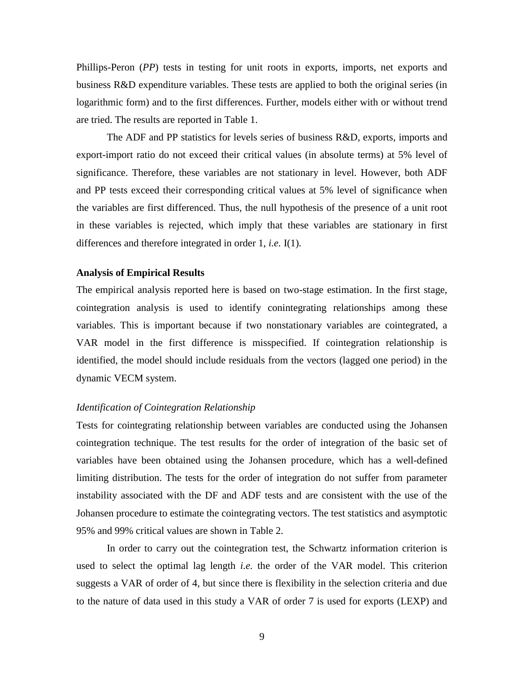Phillips-Peron (*PP*) tests in testing for unit roots in exports, imports, net exports and business R&D expenditure variables. These tests are applied to both the original series (in logarithmic form) and to the first differences. Further, models either with or without trend are tried. The results are reported in Table 1.

The ADF and PP statistics for levels series of business R&D, exports, imports and export-import ratio do not exceed their critical values (in absolute terms) at 5% level of significance. Therefore, these variables are not stationary in level. However, both ADF and PP tests exceed their corresponding critical values at 5% level of significance when the variables are first differenced. Thus, the null hypothesis of the presence of a unit root in these variables is rejected, which imply that these variables are stationary in first differences and therefore integrated in order 1, *i.e.* I(1).

#### **Analysis of Empirical Results**

The empirical analysis reported here is based on two-stage estimation. In the first stage, cointegration analysis is used to identify conintegrating relationships among these variables. This is important because if two nonstationary variables are cointegrated, a VAR model in the first difference is misspecified. If cointegration relationship is identified, the model should include residuals from the vectors (lagged one period) in the dynamic VECM system.

#### *Identification of Cointegration Relationship*

Tests for cointegrating relationship between variables are conducted using the Johansen cointegration technique. The test results for the order of integration of the basic set of variables have been obtained using the Johansen procedure, which has a well-defined limiting distribution. The tests for the order of integration do not suffer from parameter instability associated with the DF and ADF tests and are consistent with the use of the Johansen procedure to estimate the cointegrating vectors. The test statistics and asymptotic 95% and 99% critical values are shown in Table 2.

In order to carry out the cointegration test, the Schwartz information criterion is used to select the optimal lag length *i.e.* the order of the VAR model. This criterion suggests a VAR of order of 4, but since there is flexibility in the selection criteria and due to the nature of data used in this study a VAR of order 7 is used for exports (LEXP) and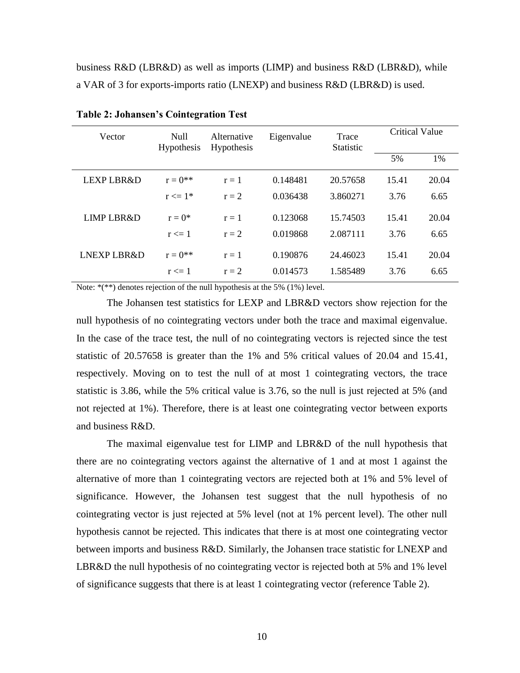business R&D (LBR&D) as well as imports (LIMP) and business R&D (LBR&D), while a VAR of 3 for exports-imports ratio (LNEXP) and business R&D (LBR&D) is used.

| Vector                | Null<br><b>Hypothesis</b> | Alternative<br>Hypothesis | Eigenvalue | Trace<br><b>Statistic</b> | <b>Critical Value</b> |       |
|-----------------------|---------------------------|---------------------------|------------|---------------------------|-----------------------|-------|
|                       |                           |                           |            |                           | 5%                    | 1%    |
| LEXP LBR&D            | $r = 0^{**}$              | $r = 1$                   | 0.148481   | 20.57658                  | 15.41                 | 20.04 |
|                       | $r \leq 1^*$              | $r = 2$                   | 0.036438   | 3.860271                  | 3.76                  | 6.65  |
| <b>LIMP LBR&amp;D</b> | $r = 0^*$                 | $r = 1$                   | 0.123068   | 15.74503                  | 15.41                 | 20.04 |
|                       | $r \leq 1$                | $r = 2$                   | 0.019868   | 2.087111                  | 3.76                  | 6.65  |
| LNEXP LBR&D           | $r = 0^{**}$              | $r=1$                     | 0.190876   | 24.46023                  | 15.41                 | 20.04 |
|                       | $r \leq 1$                | $r = 2$                   | 0.014573   | 1.585489                  | 3.76                  | 6.65  |

**Table 2: Johansen's Cointegration Test**

Note:  $*(**)$  denotes rejection of the null hypothesis at the 5% (1%) level.

The Johansen test statistics for LEXP and LBR&D vectors show rejection for the null hypothesis of no cointegrating vectors under both the trace and maximal eigenvalue. In the case of the trace test, the null of no cointegrating vectors is rejected since the test statistic of 20.57658 is greater than the 1% and 5% critical values of 20.04 and 15.41, respectively. Moving on to test the null of at most 1 cointegrating vectors, the trace statistic is 3.86, while the 5% critical value is 3.76, so the null is just rejected at 5% (and not rejected at 1%). Therefore, there is at least one cointegrating vector between exports and business R&D.

The maximal eigenvalue test for LIMP and LBR&D of the null hypothesis that there are no cointegrating vectors against the alternative of 1 and at most 1 against the alternative of more than 1 cointegrating vectors are rejected both at 1% and 5% level of significance. However, the Johansen test suggest that the null hypothesis of no cointegrating vector is just rejected at 5% level (not at 1% percent level). The other null hypothesis cannot be rejected. This indicates that there is at most one cointegrating vector between imports and business R&D. Similarly, the Johansen trace statistic for LNEXP and LBR&D the null hypothesis of no cointegrating vector is rejected both at 5% and 1% level of significance suggests that there is at least 1 cointegrating vector (reference Table 2).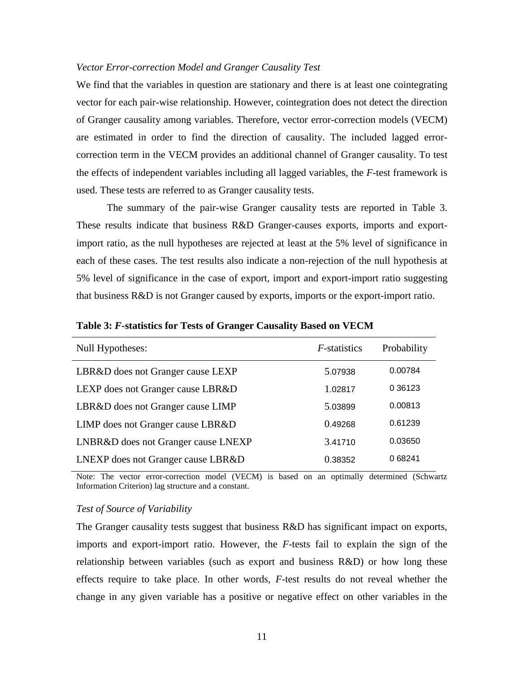#### *Vector Error-correction Model and Granger Causality Test*

We find that the variables in question are stationary and there is at least one cointegrating vector for each pair-wise relationship. However, cointegration does not detect the direction of Granger causality among variables. Therefore, vector error-correction models (VECM) are estimated in order to find the direction of causality. The included lagged errorcorrection term in the VECM provides an additional channel of Granger causality. To test the effects of independent variables including all lagged variables, the *F*-test framework is used. These tests are referred to as Granger causality tests.

The summary of the pair-wise Granger causality tests are reported in Table 3. These results indicate that business R&D Granger-causes exports, imports and exportimport ratio, as the null hypotheses are rejected at least at the 5% level of significance in each of these cases. The test results also indicate a non-rejection of the null hypothesis at 5% level of significance in the case of export, import and export-import ratio suggesting that business R&D is not Granger caused by exports, imports or the export-import ratio.

|         | Probability          |
|---------|----------------------|
| 5.07938 | 0.00784              |
| 1.02817 | 0 3 6 1 2 3          |
| 5.03899 | 0.00813              |
| 0.49268 | 0.61239              |
| 3.41710 | 0.03650              |
| 0.38352 | 068241               |
|         | <i>F</i> -statistics |

**Table 3:** *F-***statistics for Tests of Granger Causality Based on VECM**

Note: The vector error-correction model (VECM) is based on an optimally determined (Schwartz Information Criterion) lag structure and a constant.

#### *Test of Source of Variability*

The Granger causality tests suggest that business R&D has significant impact on exports, imports and export-import ratio. However, the *F*-tests fail to explain the sign of the relationship between variables (such as export and business R&D) or how long these effects require to take place. In other words, *F*-test results do not reveal whether the change in any given variable has a positive or negative effect on other variables in the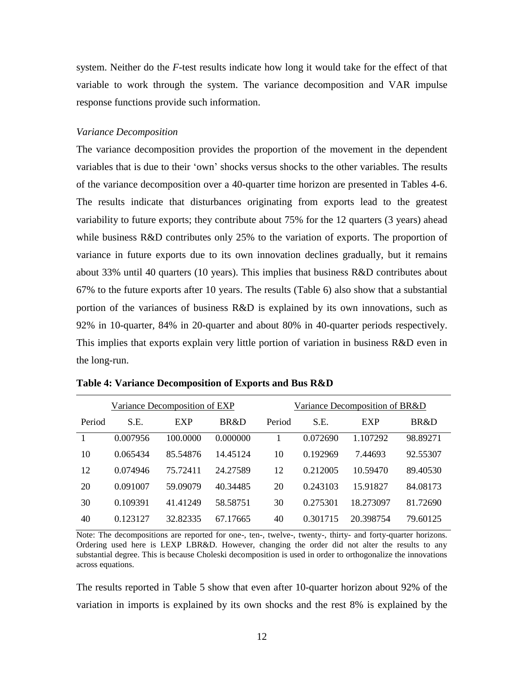system. Neither do the *F*-test results indicate how long it would take for the effect of that variable to work through the system. The variance decomposition and VAR impulse response functions provide such information.

#### *Variance Decomposition*

The variance decomposition provides the proportion of the movement in the dependent variables that is due to their 'own' shocks versus shocks to the other variables. The results of the variance decomposition over a 40-quarter time horizon are presented in Tables 4-6. The results indicate that disturbances originating from exports lead to the greatest variability to future exports; they contribute about 75% for the 12 quarters (3 years) ahead while business R&D contributes only 25% to the variation of exports. The proportion of variance in future exports due to its own innovation declines gradually, but it remains about 33% until 40 quarters (10 years). This implies that business R&D contributes about 67% to the future exports after 10 years. The results (Table 6) also show that a substantial portion of the variances of business R&D is explained by its own innovations, such as 92% in 10-quarter, 84% in 20-quarter and about 80% in 40-quarter periods respectively. This implies that exports explain very little portion of variation in business R&D even in the long-run.

|        | Variance Decomposition of EXP |            |          | Variance Decomposition of BR&D |          |            |          |
|--------|-------------------------------|------------|----------|--------------------------------|----------|------------|----------|
| Period | S.E.                          | <b>EXP</b> | BR&D     | Period                         | S.E.     | <b>EXP</b> | BR&D     |
|        | 0.007956                      | 100.0000   | 0.000000 |                                | 0.072690 | 1.107292   | 98.89271 |
| 10     | 0.065434                      | 85.54876   | 14.45124 | 10                             | 0.192969 | 7.44693    | 92.55307 |
| 12     | 0.074946                      | 75.72411   | 24.27589 | 12                             | 0.212005 | 10.59470   | 89.40530 |
| 20     | 0.091007                      | 59.09079   | 40.34485 | 20                             | 0.243103 | 15.91827   | 84.08173 |
| 30     | 0.109391                      | 41.41249   | 58.58751 | 30                             | 0.275301 | 18.273097  | 81.72690 |
| 40     | 0.123127                      | 32.82335   | 67.17665 | 40                             | 0.301715 | 20.398754  | 79.60125 |

**Table 4: Variance Decomposition of Exports and Bus R&D** 

Note: The decompositions are reported for one-, ten-, twelve-, twenty-, thirty- and forty-quarter horizons. Ordering used here is LEXP LBR&D. However, changing the order did not alter the results to any substantial degree. This is because Choleski decomposition is used in order to orthogonalize the innovations across equations.

The results reported in Table 5 show that even after 10-quarter horizon about 92% of the variation in imports is explained by its own shocks and the rest 8% is explained by the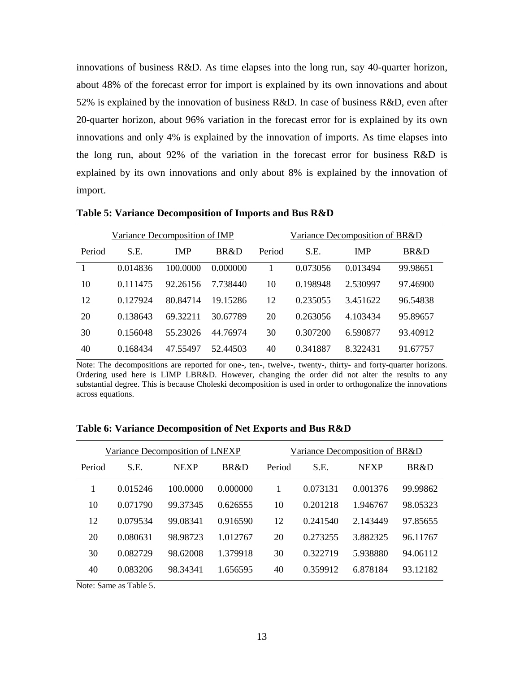innovations of business R&D. As time elapses into the long run, say 40-quarter horizon, about 48% of the forecast error for import is explained by its own innovations and about 52% is explained by the innovation of business R&D. In case of business R&D, even after 20-quarter horizon, about 96% variation in the forecast error for is explained by its own innovations and only 4% is explained by the innovation of imports. As time elapses into the long run, about 92% of the variation in the forecast error for business R&D is explained by its own innovations and only about 8% is explained by the innovation of import.

|        | Variance Decomposition of IMP |            |          |        | Variance Decomposition of BR&D |            |          |  |
|--------|-------------------------------|------------|----------|--------|--------------------------------|------------|----------|--|
| Period | S.E.                          | <b>IMP</b> | BR&D     | Period | S.E.                           | <b>IMP</b> | BR&D     |  |
|        | 0.014836                      | 100.0000   | 0.000000 |        | 0.073056                       | 0.013494   | 99.98651 |  |
| 10     | 0.111475                      | 92.26156   | 7.738440 | 10     | 0.198948                       | 2.530997   | 97.46900 |  |
| 12     | 0.127924                      | 80.84714   | 19.15286 | 12     | 0.235055                       | 3.451622   | 96.54838 |  |
| 20     | 0.138643                      | 69.32211   | 30.67789 | 20     | 0.263056                       | 4.103434   | 95.89657 |  |
| 30     | 0.156048                      | 55.23026   | 44.76974 | 30     | 0.307200                       | 6.590877   | 93.40912 |  |
| 40     | 0.168434                      | 47.55497   | 52.44503 | 40     | 0.341887                       | 8.322431   | 91.67757 |  |

**Table 5: Variance Decomposition of Imports and Bus R&D** 

Note: The decompositions are reported for one-, ten-, twelve-, twenty-, thirty- and forty-quarter horizons. Ordering used here is LIMP LBR&D. However, changing the order did not alter the results to any substantial degree. This is because Choleski decomposition is used in order to orthogonalize the innovations across equations.

| Variance Decomposition of LNEXP |          |             |          | Variance Decomposition of BR&D |          |             |          |
|---------------------------------|----------|-------------|----------|--------------------------------|----------|-------------|----------|
| Period                          | S.E.     | <b>NEXP</b> | BR&D     | Period                         | S.E.     | <b>NEXP</b> | BR&D     |
|                                 | 0.015246 | 100.0000    | 0.000000 |                                | 0.073131 | 0.001376    | 99.99862 |
| 10                              | 0.071790 | 99.37345    | 0.626555 | 10                             | 0.201218 | 1.946767    | 98.05323 |
| 12                              | 0.079534 | 99.08341    | 0.916590 | 12                             | 0.241540 | 2.143449    | 97.85655 |
| 20                              | 0.080631 | 98.98723    | 1.012767 | 20                             | 0.273255 | 3.882325    | 96.11767 |
| 30                              | 0.082729 | 98.62008    | 1.379918 | 30                             | 0.322719 | 5.938880    | 94.06112 |
| 40                              | 0.083206 | 98.34341    | 1.656595 | 40                             | 0.359912 | 6.878184    | 93.12182 |

**Table 6: Variance Decomposition of Net Exports and Bus R&D** 

Note: Same as Table 5.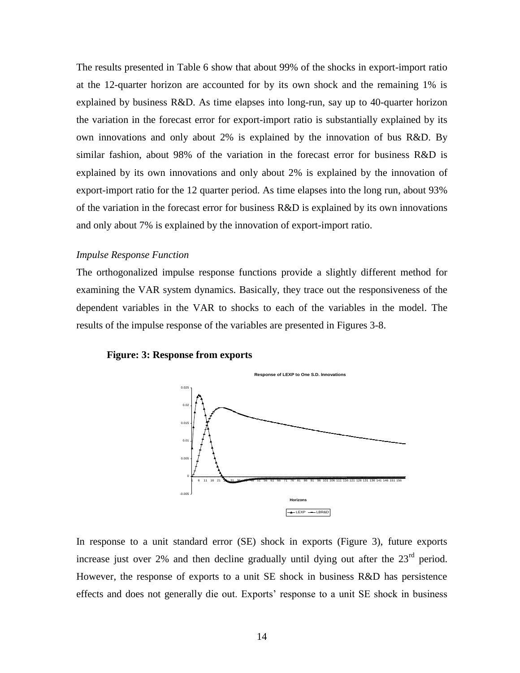The results presented in Table 6 show that about 99% of the shocks in export-import ratio at the 12-quarter horizon are accounted for by its own shock and the remaining 1% is explained by business R&D. As time elapses into long-run, say up to 40-quarter horizon the variation in the forecast error for export-import ratio is substantially explained by its own innovations and only about 2% is explained by the innovation of bus R&D. By similar fashion, about 98% of the variation in the forecast error for business R&D is explained by its own innovations and only about 2% is explained by the innovation of export-import ratio for the 12 quarter period. As time elapses into the long run, about 93% of the variation in the forecast error for business R&D is explained by its own innovations and only about 7% is explained by the innovation of export-import ratio.

### *Impulse Response Function*

The orthogonalized impulse response functions provide a slightly different method for examining the VAR system dynamics. Basically, they trace out the responsiveness of the dependent variables in the VAR to shocks to each of the variables in the model. The results of the impulse response of the variables are presented in Figures 3-8.





In response to a unit standard error (SE) shock in exports (Figure 3), future exports increase just over 2% and then decline gradually until dying out after the  $23<sup>rd</sup>$  period. However, the response of exports to a unit SE shock in business R&D has persistence effects and does not generally die out. Exports' response to a unit SE shock in business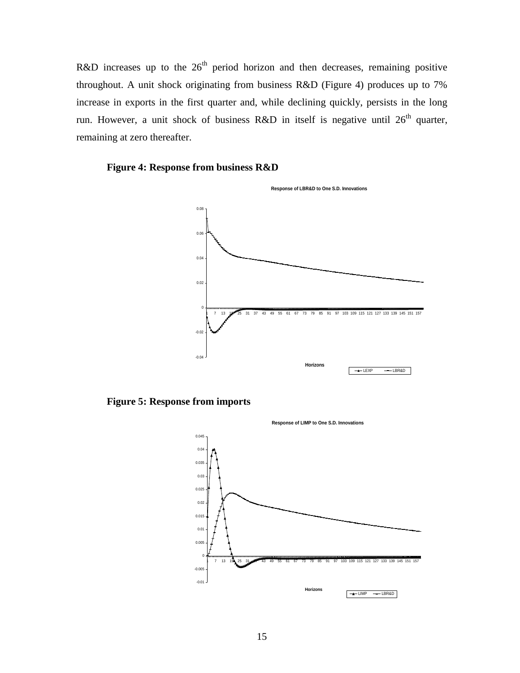R&D increases up to the  $26<sup>th</sup>$  period horizon and then decreases, remaining positive throughout. A unit shock originating from business R&D (Figure 4) produces up to 7% increase in exports in the first quarter and, while declining quickly, persists in the long run. However, a unit shock of business R&D in itself is negative until  $26<sup>th</sup>$  quarter, remaining at zero thereafter.

### **Figure 4: Response from business R&D**



**Figure 5: Response from imports**

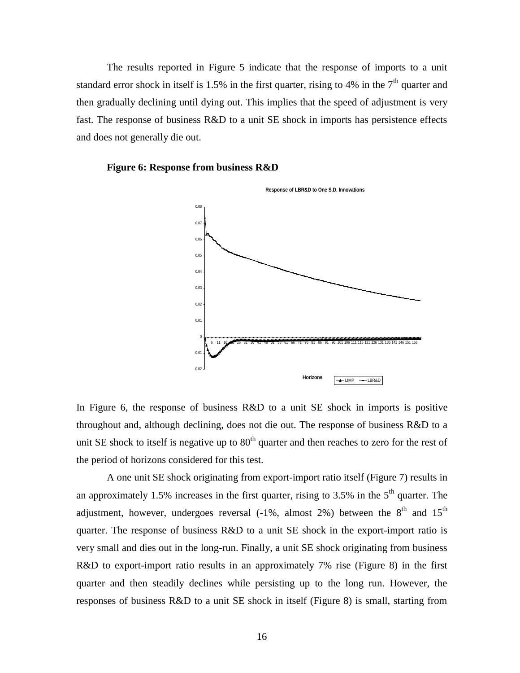The results reported in Figure 5 indicate that the response of imports to a unit standard error shock in itself is 1.5% in the first quarter, rising to 4% in the  $7<sup>th</sup>$  quarter and then gradually declining until dying out. This implies that the speed of adjustment is very fast. The response of business R&D to a unit SE shock in imports has persistence effects and does not generally die out.





In Figure 6, the response of business R&D to a unit SE shock in imports is positive throughout and, although declining, does not die out. The response of business R&D to a unit SE shock to itself is negative up to  $80<sup>th</sup>$  quarter and then reaches to zero for the rest of the period of horizons considered for this test.

A one unit SE shock originating from export-import ratio itself (Figure 7) results in an approximately 1.5% increases in the first quarter, rising to 3.5% in the  $5<sup>th</sup>$  quarter. The adjustment, however, undergoes reversal  $(-1\%$ , almost 2%) between the 8<sup>th</sup> and 15<sup>th</sup> quarter. The response of business R&D to a unit SE shock in the export-import ratio is very small and dies out in the long-run. Finally, a unit SE shock originating from business R&D to export-import ratio results in an approximately 7% rise (Figure 8) in the first quarter and then steadily declines while persisting up to the long run. However, the responses of business R&D to a unit SE shock in itself (Figure 8) is small, starting from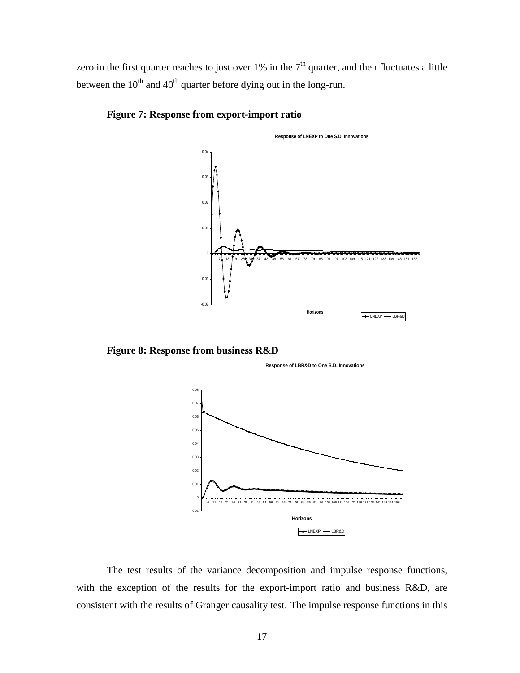zero in the first quarter reaches to just over  $1\%$  in the  $7<sup>th</sup>$  quarter, and then fluctuates a little between the  $10^{th}$  and  $40^{th}$  quarter before dying out in the long-run.



### **Figure 7: Response from export-import ratio**

**Figure 8: Response from business R&D**





The test results of the variance decomposition and impulse response functions, with the exception of the results for the export-import ratio and business R&D, are consistent with the results of Granger causality test. The impulse response functions in this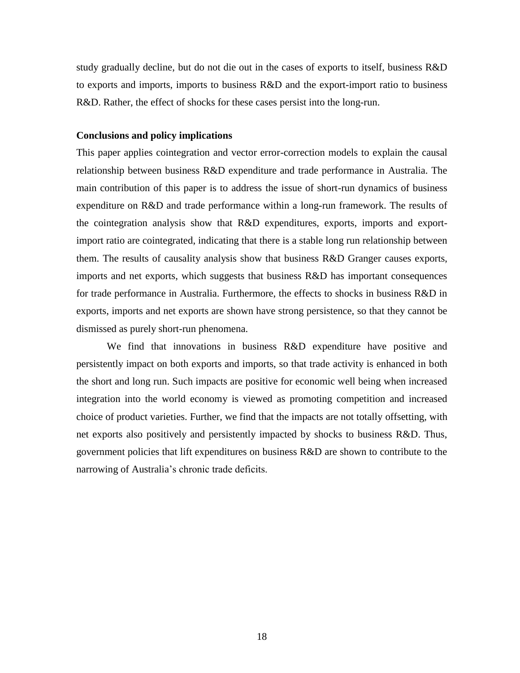study gradually decline, but do not die out in the cases of exports to itself, business R&D to exports and imports, imports to business R&D and the export-import ratio to business R&D. Rather, the effect of shocks for these cases persist into the long-run.

### **Conclusions and policy implications**

This paper applies cointegration and vector error-correction models to explain the causal relationship between business R&D expenditure and trade performance in Australia. The main contribution of this paper is to address the issue of short-run dynamics of business expenditure on R&D and trade performance within a long-run framework. The results of the cointegration analysis show that R&D expenditures, exports, imports and exportimport ratio are cointegrated, indicating that there is a stable long run relationship between them. The results of causality analysis show that business R&D Granger causes exports, imports and net exports, which suggests that business R&D has important consequences for trade performance in Australia. Furthermore, the effects to shocks in business R&D in exports, imports and net exports are shown have strong persistence, so that they cannot be dismissed as purely short-run phenomena.

We find that innovations in business R&D expenditure have positive and persistently impact on both exports and imports, so that trade activity is enhanced in both the short and long run. Such impacts are positive for economic well being when increased integration into the world economy is viewed as promoting competition and increased choice of product varieties. Further, we find that the impacts are not totally offsetting, with net exports also positively and persistently impacted by shocks to business R&D. Thus, government policies that lift expenditures on business R&D are shown to contribute to the narrowing of Australia's chronic trade deficits.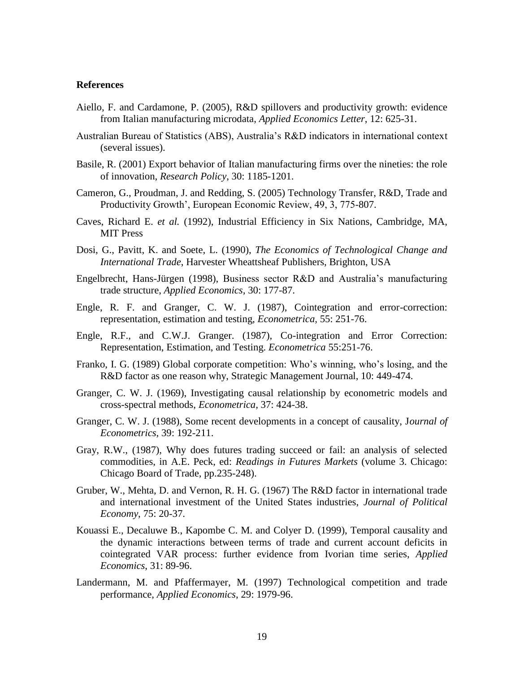#### **References**

- Aiello, F. and Cardamone, P. (2005), R&D spillovers and productivity growth: evidence from Italian manufacturing microdata, *Applied Economics Letter*, 12: 625-31.
- Australian Bureau of Statistics (ABS), Australia's R&D indicators in international context (several issues).
- Basile, R. (2001) Export behavior of Italian manufacturing firms over the nineties: the role of innovation, *Research Policy*, 30: 1185-1201.
- Cameron, G., Proudman, J. and Redding, S. (2005) Technology Transfer, R&D, Trade and Productivity Growth', European Economic Review, 49, 3, 775-807.
- Caves, Richard E. *et al.* (1992), Industrial Efficiency in Six Nations, Cambridge, MA, MIT Press
- Dosi, G., Pavitt, K. and Soete, L. (1990), *The Economics of Technological Change and International Trade*, Harvester Wheattsheaf Publishers, Brighton, USA
- Engelbrecht, Hans-Jürgen (1998), Business sector R&D and Australia's manufacturing trade structure, *Applied Economics,* 30: 177-87.
- Engle, R. F. and Granger, C. W. J. (1987), Cointegration and error-correction: representation, estimation and testing, *Econometrica,* 55: 251-76.
- Engle, R.F., and C.W.J. Granger. (1987), Co-integration and Error Correction: Representation, Estimation, and Testing. *Econometrica* 55:251-76.
- Franko, I. G. (1989) Global corporate competition: Who's winning, who's losing, and the R&D factor as one reason why, Strategic Management Journal, 10: 449-474.
- Granger, C. W. J. (1969), Investigating causal relationship by econometric models and cross-spectral methods, *Econometrica,* 37: 424-38.
- Granger, C. W. J. (1988), Some recent developments in a concept of causality, J*ournal of Econometrics,* 39: 192-211.
- Gray, R.W., (1987), Why does futures trading succeed or fail: an analysis of selected commodities, in A.E. Peck, ed: *Readings in Futures Markets* (volume 3. Chicago: Chicago Board of Trade, pp.235-248).
- Gruber, W., Mehta, D. and Vernon, R. H. G. (1967) The R&D factor in international trade and international investment of the United States industries, *Journal of Political Economy*, 75: 20-37.
- Kouassi E., Decaluwe B., Kapombe C. M. and Colyer D. (1999), Temporal causality and the dynamic interactions between terms of trade and current account deficits in cointegrated VAR process: further evidence from Ivorian time series, *Applied Economics*, 31: 89-96.
- Landermann, M. and Pfaffermayer, M. (1997) Technological competition and trade performance, *Applied Economics*, 29: 1979-96.